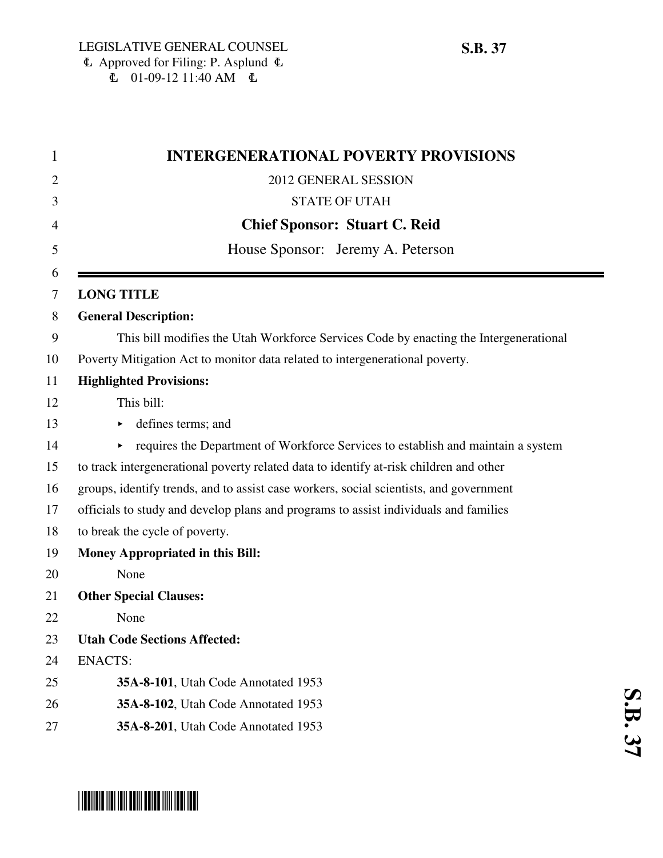| <b>INTERGENERATIONAL POVERTY PROVISIONS</b>                                            |
|----------------------------------------------------------------------------------------|
| 2012 GENERAL SESSION                                                                   |
| <b>STATE OF UTAH</b>                                                                   |
| <b>Chief Sponsor: Stuart C. Reid</b>                                                   |
| House Sponsor: Jeremy A. Peterson                                                      |
| <b>LONG TITLE</b>                                                                      |
| <b>General Description:</b>                                                            |
| This bill modifies the Utah Workforce Services Code by enacting the Intergenerational  |
| Poverty Mitigation Act to monitor data related to intergenerational poverty.           |
| <b>Highlighted Provisions:</b>                                                         |
| This bill:                                                                             |
| defines terms; and                                                                     |
| requires the Department of Workforce Services to establish and maintain a system<br>▶  |
| to track intergenerational poverty related data to identify at-risk children and other |
| groups, identify trends, and to assist case workers, social scientists, and government |
| officials to study and develop plans and programs to assist individuals and families   |
| to break the cycle of poverty.                                                         |
| Money Appropriated in this Bill:                                                       |
| None                                                                                   |
| <b>Other Special Clauses:</b>                                                          |
| None                                                                                   |
| <b>Utah Code Sections Affected:</b>                                                    |
| <b>ENACTS:</b>                                                                         |
| 35A-8-101, Utah Code Annotated 1953                                                    |
| 35A-8-102, Utah Code Annotated 1953                                                    |
| 35A-8-201, Utah Code Annotated 1953                                                    |
|                                                                                        |

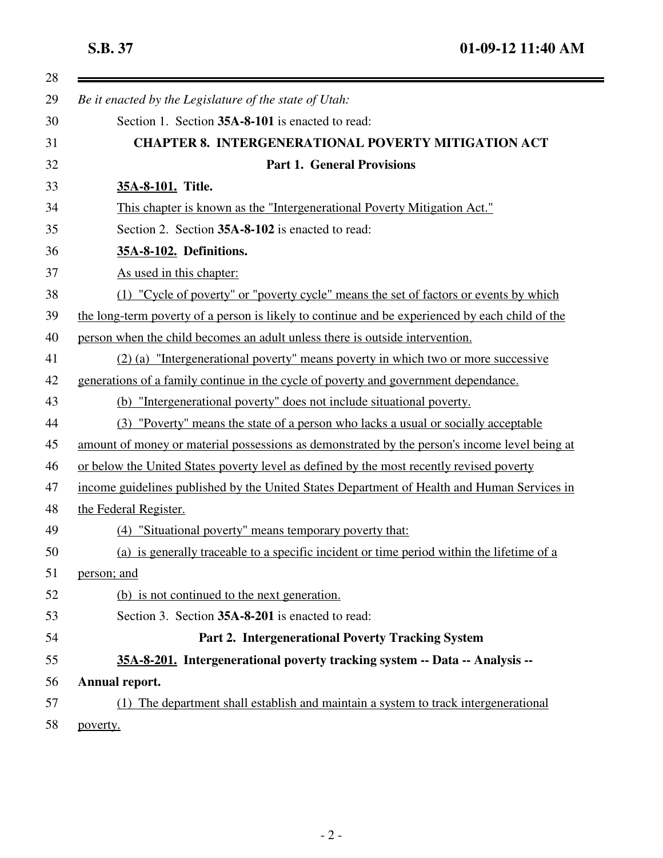| Be it enacted by the Legislature of the state of Utah:                                          |
|-------------------------------------------------------------------------------------------------|
| Section 1. Section 35A-8-101 is enacted to read:                                                |
| <b>CHAPTER 8. INTERGENERATIONAL POVERTY MITIGATION ACT</b>                                      |
| <b>Part 1. General Provisions</b>                                                               |
| 35A-8-101. Title.                                                                               |
| This chapter is known as the "Intergenerational Poverty Mitigation Act."                        |
| Section 2. Section 35A-8-102 is enacted to read:                                                |
| 35A-8-102. Definitions.                                                                         |
| As used in this chapter:                                                                        |
| (1) "Cycle of poverty" or "poverty cycle" means the set of factors or events by which           |
| the long-term poverty of a person is likely to continue and be experienced by each child of the |
| person when the child becomes an adult unless there is outside intervention.                    |
| (2) (a) "Intergenerational poverty" means poverty in which two or more successive               |
| generations of a family continue in the cycle of poverty and government dependance.             |
| "Intergenerational poverty" does not include situational poverty.<br>(b)                        |
| (3) "Poverty" means the state of a person who lacks a usual or socially acceptable              |
| amount of money or material possessions as demonstrated by the person's income level being at   |
| or below the United States poverty level as defined by the most recently revised poverty        |
| income guidelines published by the United States Department of Health and Human Services in     |
| the Federal Register.                                                                           |
| (4) "Situational poverty" means temporary poverty that:                                         |
| (a) is generally traceable to a specific incident or time period within the lifetime of a       |
| person; and                                                                                     |
| (b) is not continued to the next generation.                                                    |
| Section 3. Section 35A-8-201 is enacted to read:                                                |
| Part 2. Intergenerational Poverty Tracking System                                               |
| 35A-8-201. Intergenerational poverty tracking system -- Data -- Analysis --                     |
| Annual report.                                                                                  |
| (1) The department shall establish and maintain a system to track intergenerational             |
| poverty.                                                                                        |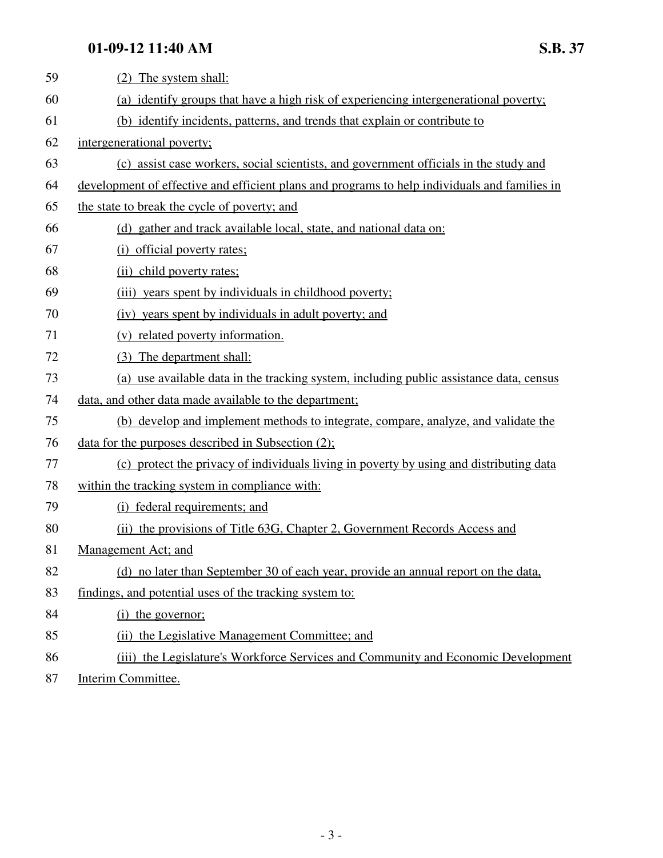## **01-09-12 11:40 AM S.B. 37**

| 59 | (2) The system shall:                                                                         |
|----|-----------------------------------------------------------------------------------------------|
| 60 | (a) identify groups that have a high risk of experiencing intergenerational poverty;          |
| 61 | (b) identify incidents, patterns, and trends that explain or contribute to                    |
| 62 | intergenerational poverty;                                                                    |
| 63 | (c) assist case workers, social scientists, and government officials in the study and         |
| 64 | development of effective and efficient plans and programs to help individuals and families in |
| 65 | the state to break the cycle of poverty; and                                                  |
| 66 | (d) gather and track available local, state, and national data on:                            |
| 67 | (i) official poverty rates;                                                                   |
| 68 | (ii) child poverty rates;                                                                     |
| 69 | (iii) years spent by individuals in childhood poverty;                                        |
| 70 | (iv) years spent by individuals in adult poverty; and                                         |
| 71 | (v) related poverty information.                                                              |
| 72 | (3) The department shall:                                                                     |
| 73 | (a) use available data in the tracking system, including public assistance data, census       |
| 74 | data, and other data made available to the department;                                        |
| 75 | (b) develop and implement methods to integrate, compare, analyze, and validate the            |
| 76 | data for the purposes described in Subsection $(2)$ ;                                         |
| 77 | (c) protect the privacy of individuals living in poverty by using and distributing data       |
| 78 | within the tracking system in compliance with:                                                |
| 79 | (i) federal requirements; and                                                                 |
| 80 | (ii) the provisions of Title 63G, Chapter 2, Government Records Access and                    |
| 81 | Management Act; and                                                                           |
| 82 | (d) no later than September 30 of each year, provide an annual report on the data,            |
| 83 | findings, and potential uses of the tracking system to:                                       |
| 84 | (i) the governor;                                                                             |
| 85 | (ii) the Legislative Management Committee; and                                                |
| 86 | (iii) the Legislature's Workforce Services and Community and Economic Development             |

87 Interim Committee.